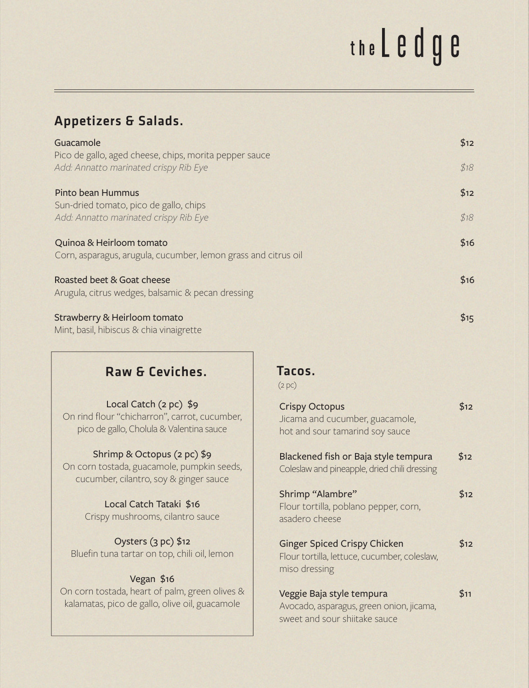# the L e d g e

#### Appetizers & Salads.

| Guacamole                                                                                       | \$12 |
|-------------------------------------------------------------------------------------------------|------|
| Pico de gallo, aged cheese, chips, morita pepper sauce<br>Add: Annatto marinated crispy Rib Eye | \$18 |
| Pinto bean Hummus                                                                               | \$12 |
| Sun-dried tomato, pico de gallo, chips                                                          |      |
| Add: Annatto marinated crispy Rib Eye                                                           | \$18 |
| Quinoa & Heirloom tomato<br>Corn, asparagus, arugula, cucumber, lemon grass and citrus oil      | \$16 |
| Roasted beet & Goat cheese                                                                      | \$16 |
| Arugula, citrus wedges, balsamic & pecan dressing                                               |      |
| Strawberry & Heirloom tomato                                                                    | \$15 |
| Mint, basil, hibiscus & chia vinaigrette                                                        |      |

#### Raw & Ceviches. Tacos.

#### Local Catch (2 pc) \$9

On rind flour "chicharron", carrot, cucumber, pico de gallo, Cholula & Valentina sauce

#### Shrimp & Octopus (2 pc) \$9

On corn tostada, guacamole, pumpkin seeds, cucumber, cilantro, soy & ginger sauce

> Local Catch Tataki \$16 Crispy mushrooms, cilantro sauce

Oysters (3 pc) \$12 Bluefin tuna tartar on top, chili oil, lemon

#### Vegan \$16

On corn tostada, heart of palm, green olives & kalamatas, pico de gallo, olive oil, guacamole

(2 pc)

| <b>Crispy Octopus</b><br>Jicama and cucumber, guacamole,<br>hot and sour tamarind soy sauce            | \$12 |
|--------------------------------------------------------------------------------------------------------|------|
| Blackened fish or Baja style tempura<br>Coleslaw and pineapple, dried chili dressing                   | \$12 |
| Shrimp "Alambre"<br>Flour tortilla, poblano pepper, corn,<br>asadero cheese                            | \$12 |
| <b>Ginger Spiced Crispy Chicken</b><br>Flour tortilla, lettuce, cucumber, coleslaw,<br>miso dressing   | \$12 |
| Veggie Baja style tempura<br>Avocado, asparagus, green onion, jicama,<br>sweet and sour shiitake sauce | \$11 |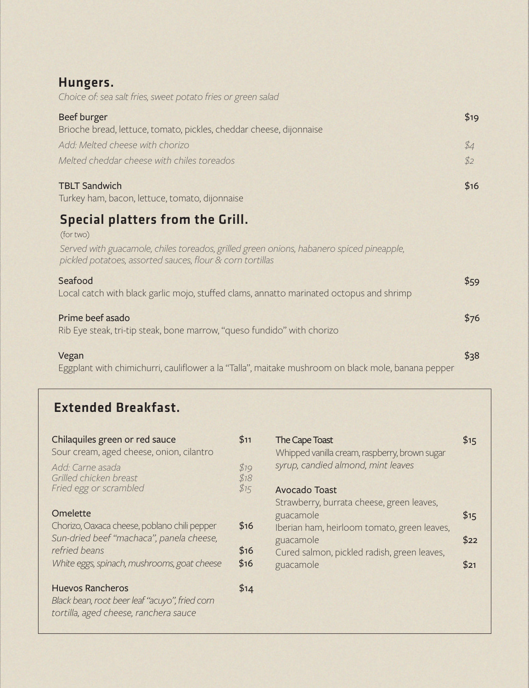#### Hungers.

*Choice of: sea salt fries, sweet potato fries or green salad*

| Beef burger                                                         | \$19 |
|---------------------------------------------------------------------|------|
| Brioche bread, lettuce, tomato, pickles, cheddar cheese, dijonnaise |      |
| Add: Melted cheese with chorizo                                     | \$4  |
| Melted cheddar cheese with chiles toreados                          | \$2  |
| <b>TBLT Sandwich</b>                                                | \$16 |

Turkey ham, bacon, lettuce, tomato, dijonnaise

## **Special platters from the Grill.**

(for two)

*Served with guacamole, chiles toreados, grilled green onions, habanero spiced pineapple, pickled potatoes, assorted sauces, flour & corn tortillas*

| Seafood | \$59 |
|---------|------|
|         |      |

Local catch with black garlic mojo, stuffed clams, annatto marinated octopus and shrimp

#### Prime beef asado \$76

Rib Eye steak, tri-tip steak, bone marrow, "queso fundido" with chorizo

#### Vegan \$38

Eggplant with chimichurri, cauliflower a la "Talla", maitake mushroom on black mole, banana pepper

### Extended Breakfast.

| Chilaquiles green or red sauce<br>Sour cream, aged cheese, onion, cilantro                                         | \$11                 | The Cape Toast<br>Whipped vanilla cream, raspberry, brown sugar | \$15 |
|--------------------------------------------------------------------------------------------------------------------|----------------------|-----------------------------------------------------------------|------|
| Add: Carne asada<br>Grilled chicken breast<br>Fried egg or scrambled                                               | \$19<br>\$18<br>\$15 | syrup, candied almond, mint leaves<br>Avocado Toast             |      |
|                                                                                                                    |                      | Strawberry, burrata cheese, green leaves,                       |      |
| Omelette                                                                                                           |                      | guacamole                                                       | \$15 |
| Chorizo, Oaxaca cheese, poblano chili pepper                                                                       | \$16                 | Iberian ham, heirloom tomato, green leaves,                     |      |
| Sun-dried beef "machaca", panela cheese,<br>refried beans                                                          | \$16                 | guacamole<br>Cured salmon, pickled radish, green leaves,        | \$22 |
| White eggs, spinach, mushrooms, goat cheese                                                                        | \$16                 | guacamole                                                       | \$21 |
| <b>Huevos Rancheros</b><br>Black bean, root beer leaf "acuyo", fried corn<br>tortilla, aged cheese, ranchera sauce | \$14                 |                                                                 |      |